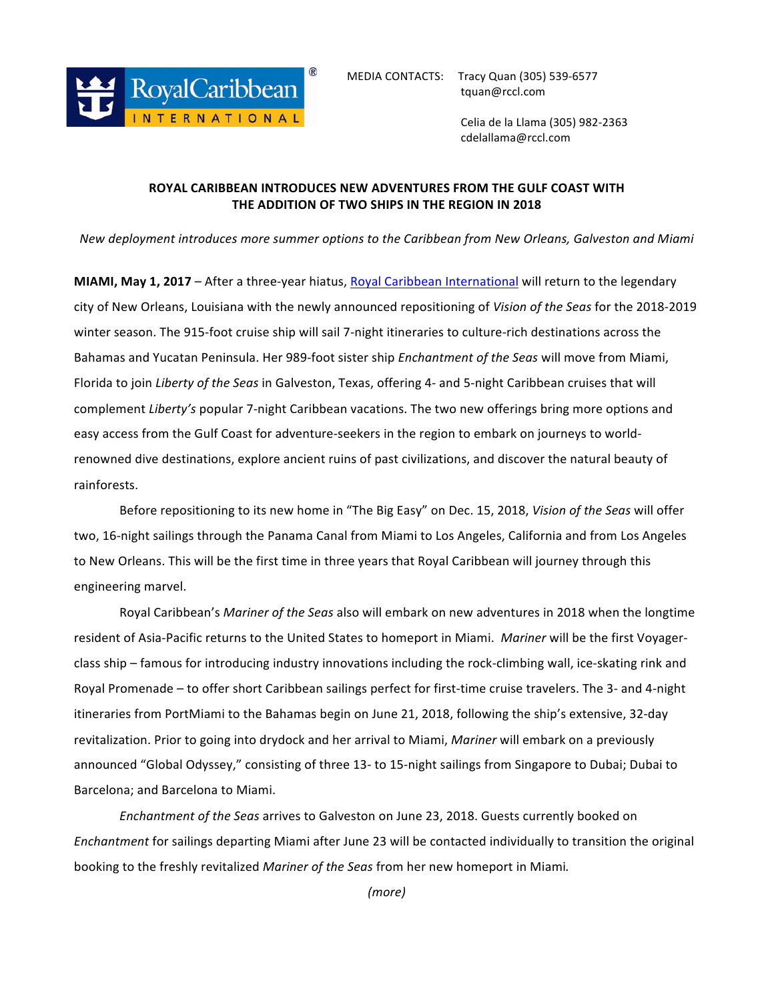

 Celia de la Llama (305) 982-2363 cdelallama@rccl.com

## **ROYAL CARIBBEAN INTRODUCES NEW ADVENTURES FROM THE GULF COAST WITH THE ADDITION OF TWO SHIPS IN THE REGION IN 2018**

*New deployment introduces more summer options to the Caribbean from New Orleans, Galveston and Miami* 

**MIAMI, May 1, 2017** – After a three-year hiatus, Royal Caribbean International will return to the legendary city of New Orleans, Louisiana with the newly announced repositioning of *Vision of the Seas* for the 2018-2019 winter season. The 915-foot cruise ship will sail 7-night itineraries to culture-rich destinations across the Bahamas and Yucatan Peninsula. Her 989-foot sister ship *Enchantment of the Seas* will move from Miami, Florida to join *Liberty of the Seas* in Galveston, Texas, offering 4- and 5-night Caribbean cruises that will complement *Liberty's* popular 7-night Caribbean vacations. The two new offerings bring more options and easy access from the Gulf Coast for adventure-seekers in the region to embark on journeys to worldrenowned dive destinations, explore ancient ruins of past civilizations, and discover the natural beauty of rainforests. 

Before repositioning to its new home in "The Big Easy" on Dec. 15, 2018, *Vision of the Seas* will offer two, 16-night sailings through the Panama Canal from Miami to Los Angeles, California and from Los Angeles to New Orleans. This will be the first time in three years that Royal Caribbean will journey through this engineering marvel.

Royal Caribbean's *Mariner of the Seas* also will embark on new adventures in 2018 when the longtime resident of Asia-Pacific returns to the United States to homeport in Miami. Mariner will be the first Voyagerclass ship – famous for introducing industry innovations including the rock-climbing wall, ice-skating rink and Royal Promenade - to offer short Caribbean sailings perfect for first-time cruise travelers. The 3- and 4-night itineraries from PortMiami to the Bahamas begin on June 21, 2018, following the ship's extensive, 32-day revitalization. Prior to going into drydock and her arrival to Miami, *Mariner* will embark on a previously announced "Global Odyssey," consisting of three 13- to 15-night sailings from Singapore to Dubai; Dubai to Barcelona; and Barcelona to Miami.

*Enchantment of the Seas* arrives to Galveston on June 23, 2018. Guests currently booked on *Enchantment* for sailings departing Miami after June 23 will be contacted individually to transition the original booking to the freshly revitalized *Mariner of the Seas* from her new homeport in Miami.

*(more)*